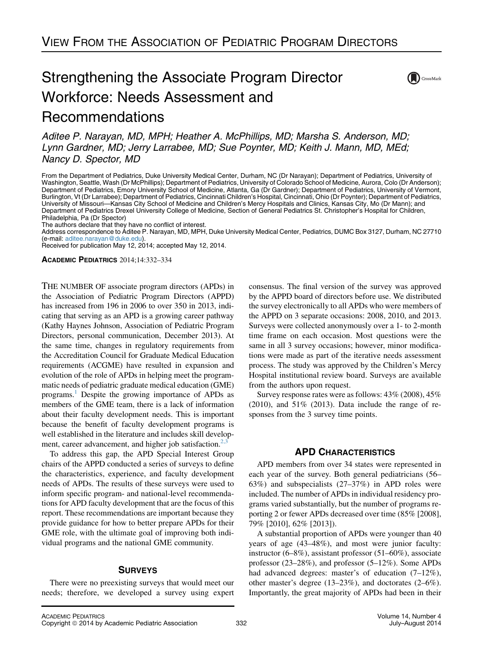# Strengthening the Associate Program Director Workforce: Needs Assessment and Recommendations



Aditee P. Narayan, MD, MPH; Heather A. McPhillips, MD; Marsha S. Anderson, MD; Lynn Gardner, MD; Jerry Larrabee, MD; Sue Poynter, MD; Keith J. Mann, MD, MEd; Nancy D. Spector, MD

From the Department of Pediatrics, Duke University Medical Center, Durham, NC (Dr Narayan); Department of Pediatrics, University of Washington, Seattle, Wash (Dr McPhillips); Department of Pediatrics, University of Colorado School of Medicine, Aurora, Colo (Dr Anderson); Department of Pediatrics, Emory University School of Medicine, Atlanta, Ga (Dr Gardner); Department of Pediatrics, University of Vermont, Burlington, Vt (Dr Larrabee); Department of Pediatrics, Cincinnati Children's Hospital, Cincinnati, Ohio (Dr Poynter); Department of Pediatrics, University of Missouri—Kansas City School of Medicine and Children's Mercy Hospitals and Clinics, Kansas City, Mo (Dr Mann); and Department of Pediatrics Drexel University College of Medicine, Section of General Pediatrics St. Christopher's Hospital for Children, Philadelphia, Pa (Dr Spector)

The authors declare that they have no conflict of interest.

Address correspondence to Aditee P. Narayan, MD, MPH, Duke University Medical Center, Pediatrics, DUMC Box 3127, Durham, NC 27710 (e-mail: [aditee.narayan@duke.edu\)](mailto:aditee.narayan@duke.edu).

Received for publication May 12, 2014; accepted May 12, 2014.

ACADEMIC PEDIATRICS 2014;14:332–334

THE NUMBER OF associate program directors (APDs) in the Association of Pediatric Program Directors (APPD) has increased from 196 in 2006 to over 350 in 2013, indicating that serving as an APD is a growing career pathway (Kathy Haynes Johnson, Association of Pediatric Program Directors, personal communication, December 2013). At the same time, changes in regulatory requirements from the Accreditation Council for Graduate Medical Education requirements (ACGME) have resulted in expansion and evolution of the role of APDs in helping meet the programmatic needs of pediatric graduate medical education (GME) programs.<sup>1</sup> Despite the growing importance of APDs as members of the GME team, there is a lack of information about their faculty development needs. This is important because the benefit of faculty development programs is well established in the literature and includes skill development, career advancement, and higher job satisfaction.<sup>2,3</sup>

To address this gap, the APD Special Interest Group chairs of the APPD conducted a series of surveys to define the characteristics, experience, and faculty development needs of APDs. The results of these surveys were used to inform specific program- and national-level recommendations for APD faculty development that are the focus of this report. These recommendations are important because they provide guidance for how to better prepare APDs for their GME role, with the ultimate goal of improving both individual programs and the national GME community.

# **SURVEYS**

There were no preexisting surveys that would meet our needs; therefore, we developed a survey using expert consensus. The final version of the survey was approved by the APPD board of directors before use. We distributed the survey electronically to all APDs who were members of the APPD on 3 separate occasions: 2008, 2010, and 2013. Surveys were collected anonymously over a 1- to 2-month time frame on each occasion. Most questions were the same in all 3 survey occasions; however, minor modifications were made as part of the iterative needs assessment process. The study was approved by the Children's Mercy Hospital institutional review board. Surveys are available from the authors upon request.

Survey response rates were as follows: 43% (2008), 45%  $(2010)$ , and  $51\%$   $(2013)$ . Data include the range of responses from the 3 survey time points.

## APD CHARACTERISTICS

APD members from over 34 states were represented in each year of the survey. Both general pediatricians (56– 63%) and subspecialists (27–37%) in APD roles were included. The number of APDs in individual residency programs varied substantially, but the number of programs reporting 2 or fewer APDs decreased over time (85% [2008], 79% [2010], 62% [2013]).

A substantial proportion of APDs were younger than 40 years of age (43–48%), and most were junior faculty: instructor (6–8%), assistant professor (51–60%), associate professor (23–28%), and professor (5–12%). Some APDs had advanced degrees: master's of education  $(7-12\%)$ , other master's degree (13–23%), and doctorates (2–6%). Importantly, the great majority of APDs had been in their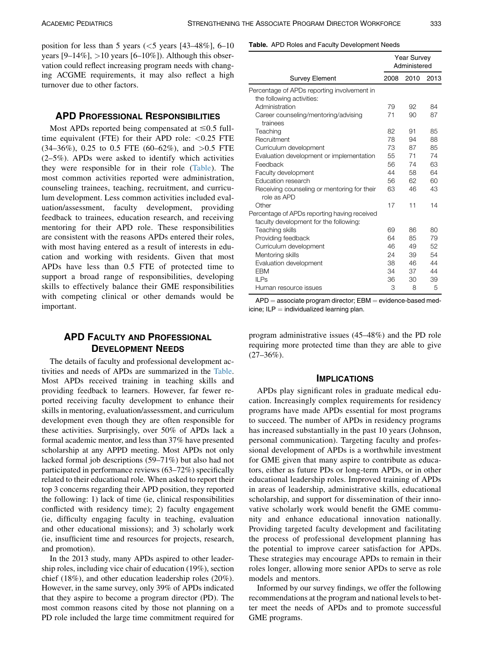position for less than 5 years  $(<5$  years  $[43-48\%], 6-10$ years  $[9-14\%]$ ,  $>10$  years  $[6-10\%]$ ). Although this observation could reflect increasing program needs with changing ACGME requirements, it may also reflect a high turnover due to other factors.

# APD PROFESSIONAL RESPONSIBILITIES

Most APDs reported being compensated at  $\leq 0.5$  fulltime equivalent (FTE) for their APD role:  $< 0.25$  FTE  $(34–36\%)$ , 0.25 to 0.5 FTE  $(60–62\%)$ , and  $>0.5$  FTE (2–5%). APDs were asked to identify which activities they were responsible for in their role (Table). The most common activities reported were administration, counseling trainees, teaching, recruitment, and curriculum development. Less common activities included evaluation/assessment, faculty development, providing feedback to trainees, education research, and receiving mentoring for their APD role. These responsibilities are consistent with the reasons APDs entered their roles, with most having entered as a result of interests in education and working with residents. Given that most APDs have less than 0.5 FTE of protected time to support a broad range of responsibilities, developing skills to effectively balance their GME responsibilities with competing clinical or other demands would be important.

# APD FACULTY AND PROFESSIONAL DEVELOPMENT NEEDS

The details of faculty and professional development activities and needs of APDs are summarized in the Table. Most APDs received training in teaching skills and providing feedback to learners. However, far fewer reported receiving faculty development to enhance their skills in mentoring, evaluation/assessment, and curriculum development even though they are often responsible for these activities. Surprisingly, over 50% of APDs lack a formal academic mentor, and less than 37% have presented scholarship at any APPD meeting. Most APDs not only lacked formal job descriptions (59–71%) but also had not participated in performance reviews (63–72%) specifically related to their educational role. When asked to report their top 3 concerns regarding their APD position, they reported the following: 1) lack of time (ie, clinical responsibilities conflicted with residency time); 2) faculty engagement (ie, difficulty engaging faculty in teaching, evaluation and other educational missions); and 3) scholarly work (ie, insufficient time and resources for projects, research, and promotion).

In the 2013 study, many APDs aspired to other leadership roles, including vice chair of education (19%), section chief (18%), and other education leadership roles (20%). However, in the same survey, only 39% of APDs indicated that they aspire to become a program director (PD). The most common reasons cited by those not planning on a PD role included the large time commitment required for

#### Table. APD Roles and Faculty Development Needs

|                                                            |      | <b>Year Survey</b><br>Administered |      |  |
|------------------------------------------------------------|------|------------------------------------|------|--|
| <b>Survey Element</b>                                      | 2008 | 2010                               | 2013 |  |
| Percentage of APDs reporting involvement in                |      |                                    |      |  |
| the following activities:                                  |      |                                    |      |  |
| Administration                                             | 79   | 92                                 | 84   |  |
| Career counseling/mentoring/advising<br>trainees           | 71   | 90                                 | 87   |  |
| Teaching                                                   | 82   | 91                                 | 85   |  |
| Recruitment                                                | 78   | 94                                 | 88   |  |
| Curriculum development                                     | 73   | 87                                 | 85   |  |
| Evaluation development or implementation                   | 55   | 71                                 | 74   |  |
| Feedback                                                   | 56   | 74                                 | 63   |  |
| Faculty development                                        | 44   | 58                                 | 64   |  |
| Education research                                         | 56   | 62                                 | 60   |  |
| Receiving counseling or mentoring for their<br>role as APD | 63   | 46                                 | 43   |  |
| Other                                                      | 17   | 11                                 | 14   |  |
| Percentage of APDs reporting having received               |      |                                    |      |  |
| faculty development for the following:                     |      |                                    |      |  |
| Teaching skills                                            | 69   | 86                                 | 80   |  |
| Providing feedback                                         | 64   | 85                                 | 79   |  |
| Curriculum development                                     | 46   | 49                                 | 52   |  |
| Mentoring skills                                           | 24   | 39                                 | 54   |  |
| Evaluation development                                     | 38   | 46                                 | 44   |  |
| <b>EBM</b>                                                 | 34   | 37                                 | 44   |  |
| <b>ILPs</b>                                                | 36   | 30                                 | 39   |  |
| Human resource issues                                      | 3    | 8                                  | 5    |  |

 $APD =$  associate program director;  $EBM =$  evidence-based medicine;  $ILP = individualized learning plan.$ 

program administrative issues (45–48%) and the PD role requiring more protected time than they are able to give  $(27-36\%)$ .

#### IMPLICATIONS

APDs play significant roles in graduate medical education. Increasingly complex requirements for residency programs have made APDs essential for most programs to succeed. The number of APDs in residency programs has increased substantially in the past 10 years (Johnson, personal communication). Targeting faculty and professional development of APDs is a worthwhile investment for GME given that many aspire to contribute as educators, either as future PDs or long-term APDs, or in other educational leadership roles. Improved training of APDs in areas of leadership, administrative skills, educational scholarship, and support for dissemination of their innovative scholarly work would benefit the GME community and enhance educational innovation nationally. Providing targeted faculty development and facilitating the process of professional development planning has the potential to improve career satisfaction for APDs. These strategies may encourage APDs to remain in their roles longer, allowing more senior APDs to serve as role models and mentors.

Informed by our survey findings, we offer the following recommendations at the program and national levels to better meet the needs of APDs and to promote successful GME programs.